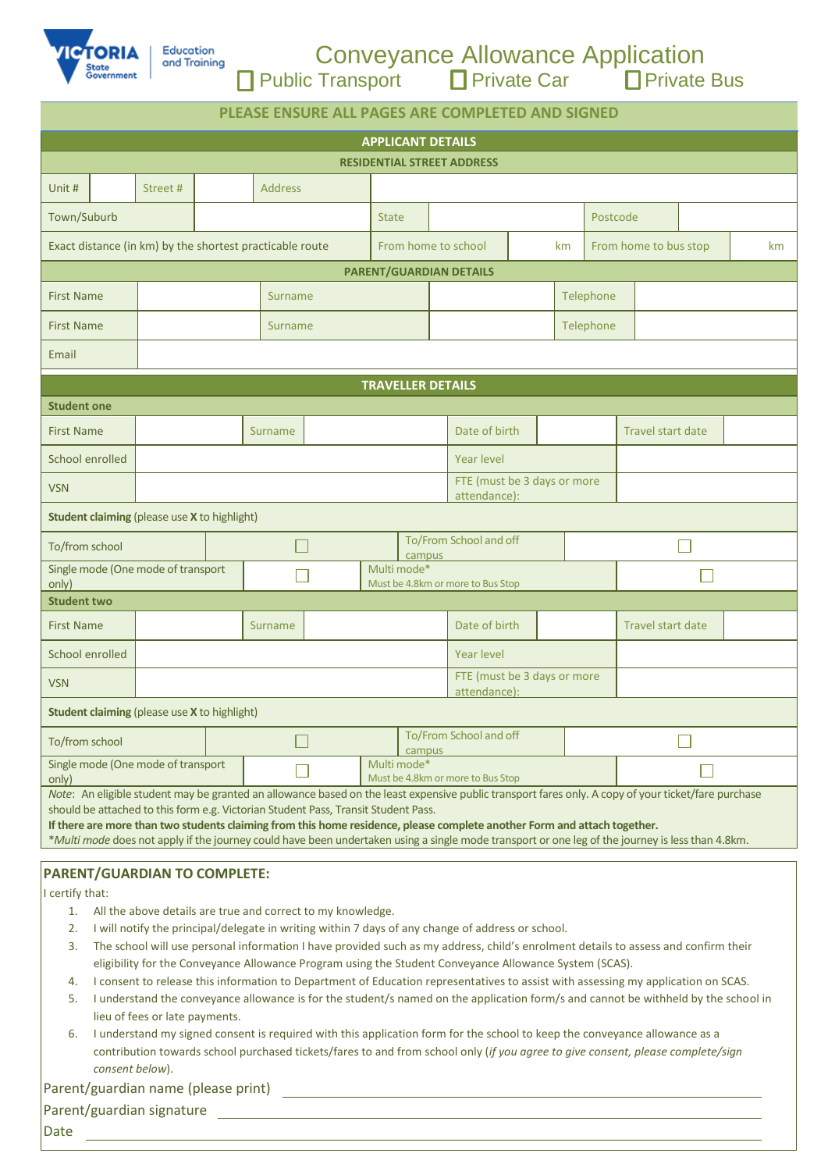

|                         | <b>Conveyance Allowance Application</b> |               |
|-------------------------|-----------------------------------------|---------------|
| <b>Public Transport</b> | $\Box$ Private Car                      | □ Private Bus |

| PLEASE ENSURE ALL PAGES ARE COMPLETED AND SIGNED                                                                                                                                                                                                                                                                                                                                                                                                                                                                          |                                    |                                                     |  |                                  |                                                  |                                                  |                                  |                                             |               |  |  |                          |                   |  |  |  |
|---------------------------------------------------------------------------------------------------------------------------------------------------------------------------------------------------------------------------------------------------------------------------------------------------------------------------------------------------------------------------------------------------------------------------------------------------------------------------------------------------------------------------|------------------------------------|-----------------------------------------------------|--|----------------------------------|--------------------------------------------------|--------------------------------------------------|----------------------------------|---------------------------------------------|---------------|--|--|--------------------------|-------------------|--|--|--|
| <b>APPLICANT DETAILS</b>                                                                                                                                                                                                                                                                                                                                                                                                                                                                                                  |                                    |                                                     |  |                                  |                                                  |                                                  |                                  |                                             |               |  |  |                          |                   |  |  |  |
| <b>RESIDENTIAL STREET ADDRESS</b>                                                                                                                                                                                                                                                                                                                                                                                                                                                                                         |                                    |                                                     |  |                                  |                                                  |                                                  |                                  |                                             |               |  |  |                          |                   |  |  |  |
| Unit #                                                                                                                                                                                                                                                                                                                                                                                                                                                                                                                    |                                    | Street#                                             |  | <b>Address</b>                   |                                                  |                                                  |                                  |                                             |               |  |  |                          |                   |  |  |  |
| Town/Suburb                                                                                                                                                                                                                                                                                                                                                                                                                                                                                                               |                                    |                                                     |  | <b>State</b>                     |                                                  |                                                  | Postcode                         |                                             |               |  |  |                          |                   |  |  |  |
| Exact distance (in km) by the shortest practicable route<br>From home to school<br>From home to bus stop<br>km                                                                                                                                                                                                                                                                                                                                                                                                            |                                    |                                                     |  |                                  |                                                  |                                                  |                                  |                                             | km            |  |  |                          |                   |  |  |  |
| PARENT/GUARDIAN DETAILS                                                                                                                                                                                                                                                                                                                                                                                                                                                                                                   |                                    |                                                     |  |                                  |                                                  |                                                  |                                  |                                             |               |  |  |                          |                   |  |  |  |
| <b>First Name</b>                                                                                                                                                                                                                                                                                                                                                                                                                                                                                                         |                                    | Surname                                             |  |                                  |                                                  |                                                  | Telephone                        |                                             |               |  |  |                          |                   |  |  |  |
| <b>First Name</b>                                                                                                                                                                                                                                                                                                                                                                                                                                                                                                         |                                    | Surname                                             |  |                                  |                                                  |                                                  | Telephone                        |                                             |               |  |  |                          |                   |  |  |  |
| Email                                                                                                                                                                                                                                                                                                                                                                                                                                                                                                                     |                                    |                                                     |  |                                  |                                                  |                                                  |                                  |                                             |               |  |  |                          |                   |  |  |  |
|                                                                                                                                                                                                                                                                                                                                                                                                                                                                                                                           |                                    |                                                     |  |                                  |                                                  | <b>TRAVELLER DETAILS</b>                         |                                  |                                             |               |  |  |                          |                   |  |  |  |
| <b>Student one</b>                                                                                                                                                                                                                                                                                                                                                                                                                                                                                                        |                                    |                                                     |  |                                  |                                                  |                                                  |                                  |                                             |               |  |  |                          |                   |  |  |  |
| <b>First Name</b>                                                                                                                                                                                                                                                                                                                                                                                                                                                                                                         |                                    |                                                     |  | Surname                          |                                                  |                                                  |                                  |                                             | Date of birth |  |  |                          | Travel start date |  |  |  |
| School enrolled                                                                                                                                                                                                                                                                                                                                                                                                                                                                                                           |                                    | <b>Year level</b>                                   |  |                                  |                                                  |                                                  |                                  |                                             |               |  |  |                          |                   |  |  |  |
| FTE (must be 3 days or more<br><b>VSN</b><br>attendance):                                                                                                                                                                                                                                                                                                                                                                                                                                                                 |                                    |                                                     |  |                                  |                                                  |                                                  |                                  |                                             |               |  |  |                          |                   |  |  |  |
|                                                                                                                                                                                                                                                                                                                                                                                                                                                                                                                           |                                    | <b>Student claiming (please use X to highlight)</b> |  |                                  |                                                  |                                                  |                                  |                                             |               |  |  |                          |                   |  |  |  |
|                                                                                                                                                                                                                                                                                                                                                                                                                                                                                                                           | To/from school                     |                                                     |  |                                  |                                                  |                                                  | To/From School and off<br>campus |                                             |               |  |  |                          |                   |  |  |  |
| Single mode (One mode of transport<br>only)                                                                                                                                                                                                                                                                                                                                                                                                                                                                               |                                    |                                                     |  |                                  |                                                  | Multi mode*<br>Must be 4.8km or more to Bus Stop |                                  |                                             |               |  |  |                          |                   |  |  |  |
| <b>Student two</b>                                                                                                                                                                                                                                                                                                                                                                                                                                                                                                        |                                    |                                                     |  |                                  |                                                  |                                                  |                                  |                                             |               |  |  |                          |                   |  |  |  |
| <b>First Name</b>                                                                                                                                                                                                                                                                                                                                                                                                                                                                                                         |                                    | Surname                                             |  |                                  |                                                  |                                                  | Date of birth                    |                                             |               |  |  | <b>Travel start date</b> |                   |  |  |  |
| School enrolled                                                                                                                                                                                                                                                                                                                                                                                                                                                                                                           |                                    | <b>Year level</b>                                   |  |                                  |                                                  |                                                  |                                  |                                             |               |  |  |                          |                   |  |  |  |
| <b>VSN</b>                                                                                                                                                                                                                                                                                                                                                                                                                                                                                                                |                                    |                                                     |  |                                  |                                                  |                                                  |                                  | FTE (must be 3 days or more<br>attendance): |               |  |  |                          |                   |  |  |  |
| <b>Student claiming (please use X to highlight)</b>                                                                                                                                                                                                                                                                                                                                                                                                                                                                       |                                    |                                                     |  |                                  |                                                  |                                                  |                                  |                                             |               |  |  |                          |                   |  |  |  |
| To/from school                                                                                                                                                                                                                                                                                                                                                                                                                                                                                                            |                                    |                                                     |  | To/From School and off<br>campus |                                                  |                                                  |                                  |                                             |               |  |  |                          |                   |  |  |  |
| only)                                                                                                                                                                                                                                                                                                                                                                                                                                                                                                                     | Single mode (One mode of transport |                                                     |  |                                  | Multi mode*<br>Must be 4.8km or more to Bus Stop |                                                  |                                  |                                             |               |  |  |                          |                   |  |  |  |
| Note: An eligible student may be granted an allowance based on the least expensive public transport fares only. A copy of your ticket/fare purchase<br>should be attached to this form e.g. Victorian Student Pass, Transit Student Pass.<br>If there are more than two students claiming from this home residence, please complete another Form and attach together.<br>*Multi mode does not apply if the journey could have been undertaken using a single mode transport or one leg of the journey is less than 4.8km. |                                    |                                                     |  |                                  |                                                  |                                                  |                                  |                                             |               |  |  |                          |                   |  |  |  |
| <b>PARENT/GUARDIAN TO COMPLETE:</b><br>I certify that:<br>1. All the above details are true and correct to my knowledge.                                                                                                                                                                                                                                                                                                                                                                                                  |                                    |                                                     |  |                                  |                                                  |                                                  |                                  |                                             |               |  |  |                          |                   |  |  |  |

- 2. I will notify the principal/delegate in writing within 7 days of any change of address or school.
- 3. The school will use personal information I have provided such as my address, child's enrolment details to assess and confirm their eligibility for the Conveyance Allowance Program using the Student Conveyance Allowance System (SCAS).
- 4. I consent to release this information to Department of Education representatives to assist with assessing my application on SCAS.
- 5. I understand the conveyance allowance is for the student/s named on the application form/s and cannot be withheld by the school in lieu of fees or late payments.
- 6. I understand my signed consent is required with this application form for the school to keep the conveyance allowance as a contribution towards school purchased tickets/fares to and from school only (*if you agree to give consent, please complete/sign consent below*).

| Parent/guardian name (please print) |  |  |  |
|-------------------------------------|--|--|--|
|-------------------------------------|--|--|--|

Parent/guardian signature

Date